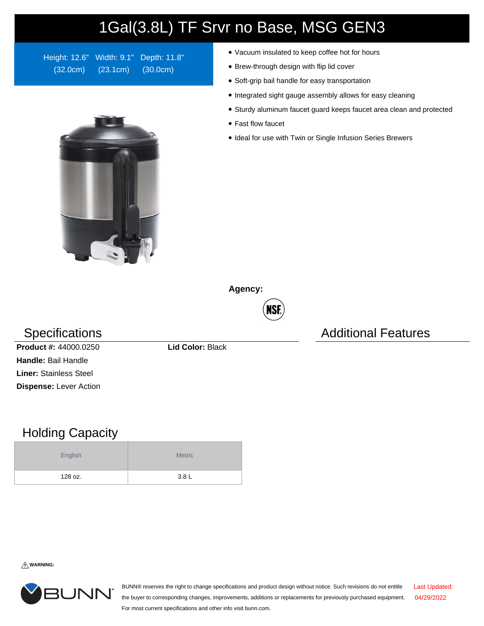## 1Gal(3.8L) TF Srvr no Base, MSG GEN3

Height: 12.6" Width: 9.1" Depth: 11.8" (32.0cm) (23.1cm) (30.0cm)

- Vacuum insulated to keep coffee hot for hours
- Brew-through design with flip lid cover
- Soft-grip bail handle for easy transportation
- Integrated sight gauge assembly allows for easy cleaning
- Sturdy aluminum faucet guard keeps faucet area clean and protected
- Fast flow faucet
- Ideal for use with Twin or Single Infusion Series Brewers

**Agency:**



## Specifications **Additional Features** Additional Features



**Product #:** 44000.0250 **Lid Color:** Black **Handle:** Bail Handle **Liner:** Stainless Steel **Dispense:** Lever Action

## Holding Capacity

| English | <b>Metric</b> |  |  |  |
|---------|---------------|--|--|--|
| 128 oz. | 3.8L          |  |  |  |

**WARNING:**



BUNN® reserves the right to change specifications and product design without notice. Such revisions do not entitle the buyer to corresponding changes, improvements, additions or replacements for previously purchased equipment. For most current specifications and other info visit bunn.com. Last Updated: 04/29/2022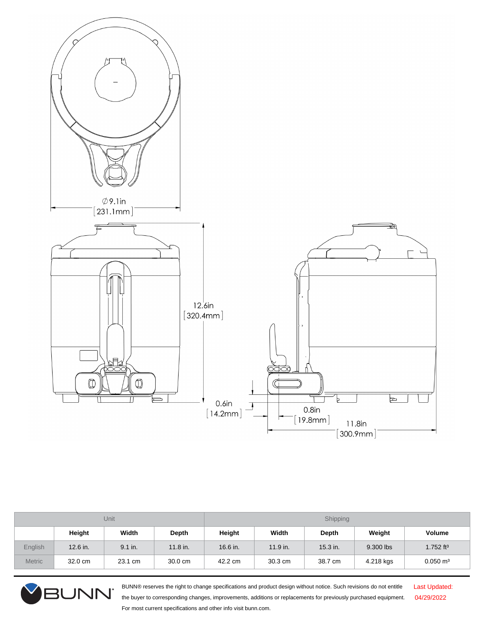

| Unit          |            |         | Shipping |          |            |              |           |                         |
|---------------|------------|---------|----------|----------|------------|--------------|-----------|-------------------------|
|               | Height     | Width   | Depth    | Height   | Width      | <b>Depth</b> | Weight    | Volume                  |
| English       | $12.6$ in. | 9.1 in. | 11.8 in. | 16.6 in. | $11.9$ in. | $15.3$ in.   | 9.300 lbs | $1.752$ ft <sup>3</sup> |
| <b>Metric</b> | 32.0 cm    | 23.1 cm | 30.0 cm  | 42.2 cm  | 30.3 cm    | 38.7 cm      | 4.218 kgs | $0.050 \text{ m}^3$     |



BUNN® reserves the right to change specifications and product design without notice. Such revisions do not entitle the buyer to corresponding changes, improvements, additions or replacements for previously purchased equipment. For most current specifications and other info visit bunn.com.

Last Updated: 04/29/2022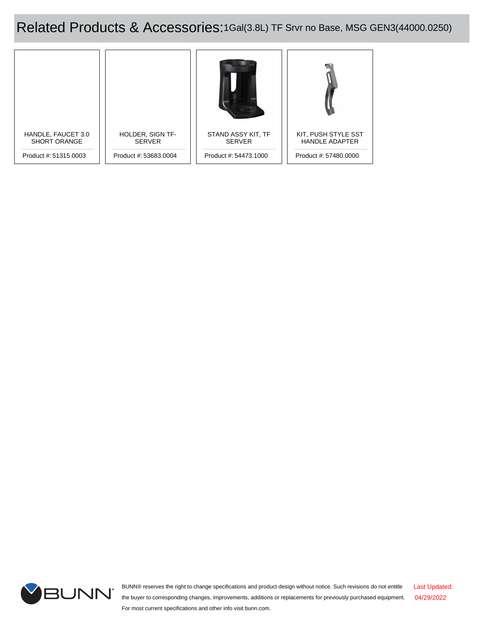Related Products & Accessories:1Gal(3.8L) TF Srvr no Base, MSG GEN3(44000.0250)





BUNN® reserves the right to change specifications and product design without notice. Such revisions do not entitle the buyer to corresponding changes, improvements, additions or replacements for previously purchased equipment. For most current specifications and other info visit bunn.com. Last Updated: 04/29/2022